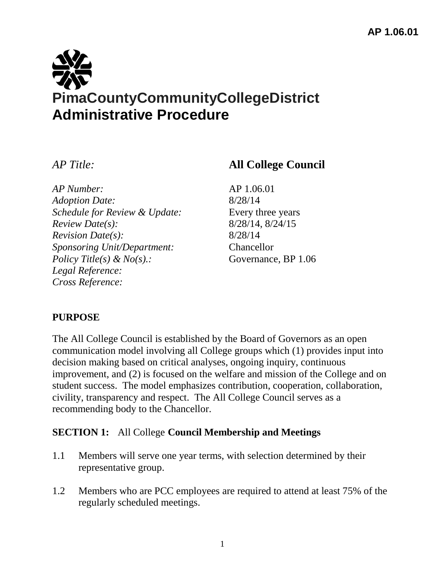

*AP Number:* AP 1.06.01 *Adoption Date:* 8/28/14 *Schedule for Review & Update:* Every three years *Review Date(s):* 8/28/14, 8/24/15 *Revision Date(s):* 8/28/14 *Sponsoring Unit/Department:* Chancellor *Policy Title(s) & No(s).:* Governance, BP 1.06 *Legal Reference: Cross Reference:*

# *AP Title:* **All College Council**

### **PURPOSE**

The All College Council is established by the Board of Governors as an open communication model involving all College groups which (1) provides input into decision making based on critical analyses, ongoing inquiry, continuous improvement, and (2) is focused on the welfare and mission of the College and on student success. The model emphasizes contribution, cooperation, collaboration, civility, transparency and respect. The All College Council serves as a recommending body to the Chancellor.

### **SECTION 1:** All College **Council Membership and Meetings**

- 1.1 Members will serve one year terms, with selection determined by their representative group.
- 1.2 Members who are PCC employees are required to attend at least 75% of the regularly scheduled meetings.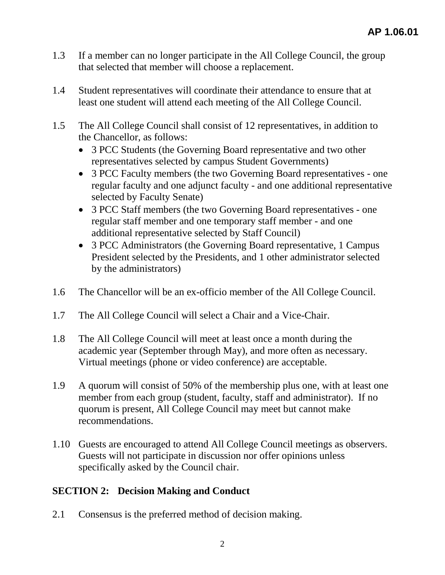- 1.3 If a member can no longer participate in the All College Council, the group that selected that member will choose a replacement.
- 1.4 Student representatives will coordinate their attendance to ensure that at least one student will attend each meeting of the All College Council.
- 1.5 The All College Council shall consist of 12 representatives, in addition to the Chancellor, as follows:
	- 3 PCC Students (the Governing Board representative and two other representatives selected by campus Student Governments)
	- 3 PCC Faculty members (the two Governing Board representatives one regular faculty and one adjunct faculty - and one additional representative selected by Faculty Senate)
	- 3 PCC Staff members (the two Governing Board representatives one regular staff member and one temporary staff member - and one additional representative selected by Staff Council)
	- 3 PCC Administrators (the Governing Board representative, 1 Campus President selected by the Presidents, and 1 other administrator selected by the administrators)
- 1.6 The Chancellor will be an ex-officio member of the All College Council.
- 1.7 The All College Council will select a Chair and a Vice-Chair.
- 1.8 The All College Council will meet at least once a month during the academic year (September through May), and more often as necessary. Virtual meetings (phone or video conference) are acceptable.
- 1.9 A quorum will consist of 50% of the membership plus one, with at least one member from each group (student, faculty, staff and administrator). If no quorum is present, All College Council may meet but cannot make recommendations.
- 1.10 Guests are encouraged to attend All College Council meetings as observers. Guests will not participate in discussion nor offer opinions unless specifically asked by the Council chair.

### **SECTION 2: Decision Making and Conduct**

2.1 Consensus is the preferred method of decision making.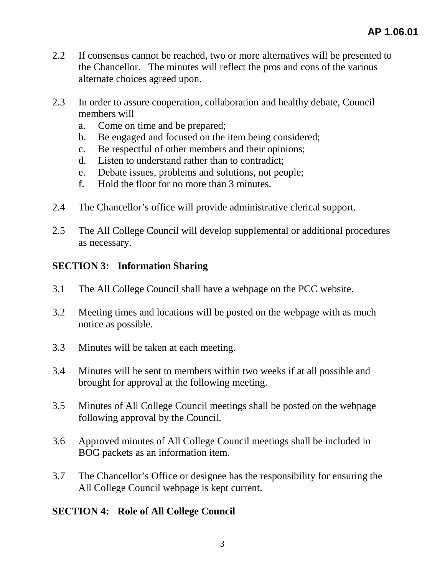- 2.2 If consensus cannot be reached, two or more alternatives will be presented to the Chancellor. The minutes will reflect the pros and cons of the various alternate choices agreed upon.
- 2.3 In order to assure cooperation, collaboration and healthy debate, Council members will
	- a. Come on time and be prepared;
	- b. Be engaged and focused on the item being considered;
	- c. Be respectful of other members and their opinions;
	- d. Listen to understand rather than to contradict;
	- e. Debate issues, problems and solutions, not people;
	- f. Hold the floor for no more than 3 minutes.
- 2.4 The Chancellor's office will provide administrative clerical support.
- 2.5 The All College Council will develop supplemental or additional procedures as necessary.

## **SECTION 3: Information Sharing**

- 3.1 The All College Council shall have a webpage on the PCC website.
- 3.2 Meeting times and locations will be posted on the webpage with as much notice as possible.
- 3.3 Minutes will be taken at each meeting.
- 3.4 Minutes will be sent to members within two weeks if at all possible and brought for approval at the following meeting.
- 3.5 Minutes of All College Council meetings shall be posted on the webpage following approval by the Council.
- 3.6 Approved minutes of All College Council meetings shall be included in BOG packets as an information item.
- 3.7 The Chancellor's Office or designee has the responsibility for ensuring the All College Council webpage is kept current.

### **SECTION 4: Role of All College Council**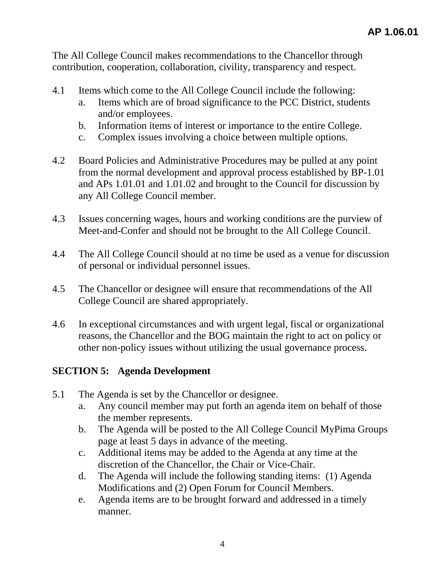The All College Council makes recommendations to the Chancellor through contribution, cooperation, collaboration, civility, transparency and respect.

- 4.1 Items which come to the All College Council include the following:
	- a. Items which are of broad significance to the PCC District, students and/or employees.
	- b. Information items of interest or importance to the entire College.
	- c. Complex issues involving a choice between multiple options.
- 4.2 Board Policies and Administrative Procedures may be pulled at any point from the normal development and approval process established by BP-1.01 and APs 1.01.01 and 1.01.02 and brought to the Council for discussion by any All College Council member.
- 4.3 Issues concerning wages, hours and working conditions are the purview of Meet-and-Confer and should not be brought to the All College Council.
- 4.4 The All College Council should at no time be used as a venue for discussion of personal or individual personnel issues.
- 4.5 The Chancellor or designee will ensure that recommendations of the All College Council are shared appropriately.
- 4.6 In exceptional circumstances and with urgent legal, fiscal or organizational reasons, the Chancellor and the BOG maintain the right to act on policy or other non-policy issues without utilizing the usual governance process.

### **SECTION 5: Agenda Development**

- 5.1 The Agenda is set by the Chancellor or designee.
	- a. Any council member may put forth an agenda item on behalf of those the member represents.
	- b. The Agenda will be posted to the All College Council MyPima Groups page at least 5 days in advance of the meeting.
	- c. Additional items may be added to the Agenda at any time at the discretion of the Chancellor, the Chair or Vice-Chair.
	- d. The Agenda will include the following standing items: (1) Agenda Modifications and (2) Open Forum for Council Members.
	- e. Agenda items are to be brought forward and addressed in a timely manner.